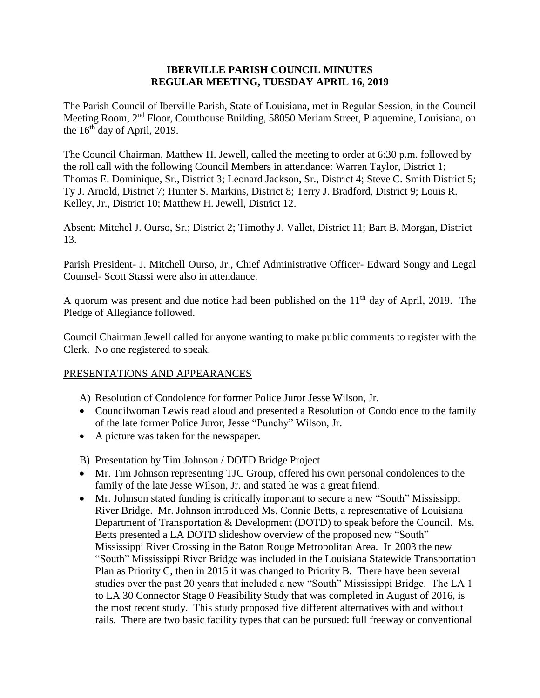## **IBERVILLE PARISH COUNCIL MINUTES REGULAR MEETING, TUESDAY APRIL 16, 2019**

The Parish Council of Iberville Parish, State of Louisiana, met in Regular Session, in the Council Meeting Room, 2nd Floor, Courthouse Building, 58050 Meriam Street, Plaquemine, Louisiana, on the  $16<sup>th</sup>$  day of April, 2019.

The Council Chairman, Matthew H. Jewell, called the meeting to order at 6:30 p.m. followed by the roll call with the following Council Members in attendance: Warren Taylor, District 1; Thomas E. Dominique, Sr., District 3; Leonard Jackson, Sr., District 4; Steve C. Smith District 5; Ty J. Arnold, District 7; Hunter S. Markins, District 8; Terry J. Bradford, District 9; Louis R. Kelley, Jr., District 10; Matthew H. Jewell, District 12.

Absent: Mitchel J. Ourso, Sr.; District 2; Timothy J. Vallet, District 11; Bart B. Morgan, District 13.

Parish President- J. Mitchell Ourso, Jr., Chief Administrative Officer- Edward Songy and Legal Counsel- Scott Stassi were also in attendance.

A quorum was present and due notice had been published on the  $11<sup>th</sup>$  day of April, 2019. The Pledge of Allegiance followed.

Council Chairman Jewell called for anyone wanting to make public comments to register with the Clerk. No one registered to speak.

# PRESENTATIONS AND APPEARANCES

- A) Resolution of Condolence for former Police Juror Jesse Wilson, Jr.
- Councilwoman Lewis read aloud and presented a Resolution of Condolence to the family of the late former Police Juror, Jesse "Punchy" Wilson, Jr.
- A picture was taken for the newspaper.
- B) Presentation by Tim Johnson / DOTD Bridge Project
- Mr. Tim Johnson representing TJC Group, offered his own personal condolences to the family of the late Jesse Wilson, Jr. and stated he was a great friend.
- Mr. Johnson stated funding is critically important to secure a new "South" Mississippi River Bridge. Mr. Johnson introduced Ms. Connie Betts, a representative of Louisiana Department of Transportation & Development (DOTD) to speak before the Council. Ms. Betts presented a LA DOTD slideshow overview of the proposed new "South" Mississippi River Crossing in the Baton Rouge Metropolitan Area. In 2003 the new "South" Mississippi River Bridge was included in the Louisiana Statewide Transportation Plan as Priority C, then in 2015 it was changed to Priority B. There have been several studies over the past 20 years that included a new "South" Mississippi Bridge. The LA 1 to LA 30 Connector Stage 0 Feasibility Study that was completed in August of 2016, is the most recent study. This study proposed five different alternatives with and without rails. There are two basic facility types that can be pursued: full freeway or conventional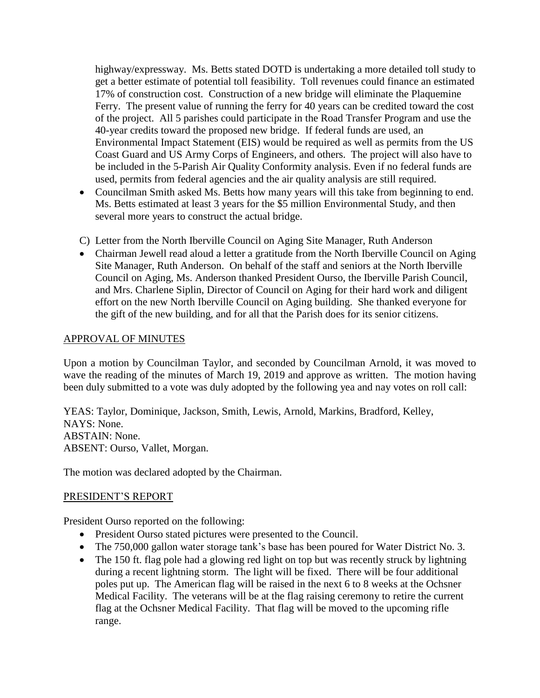highway/expressway. Ms. Betts stated DOTD is undertaking a more detailed toll study to get a better estimate of potential toll feasibility. Toll revenues could finance an estimated 17% of construction cost. Construction of a new bridge will eliminate the Plaquemine Ferry. The present value of running the ferry for 40 years can be credited toward the cost of the project. All 5 parishes could participate in the Road Transfer Program and use the 40-year credits toward the proposed new bridge. If federal funds are used, an Environmental Impact Statement (EIS) would be required as well as permits from the US Coast Guard and US Army Corps of Engineers, and others. The project will also have to be included in the 5-Parish Air Quality Conformity analysis. Even if no federal funds are used, permits from federal agencies and the air quality analysis are still required.

- Councilman Smith asked Ms. Betts how many years will this take from beginning to end. Ms. Betts estimated at least 3 years for the \$5 million Environmental Study, and then several more years to construct the actual bridge.
- C) Letter from the North Iberville Council on Aging Site Manager, Ruth Anderson
- Chairman Jewell read aloud a letter a gratitude from the North Iberville Council on Aging Site Manager, Ruth Anderson. On behalf of the staff and seniors at the North Iberville Council on Aging, Ms. Anderson thanked President Ourso, the Iberville Parish Council, and Mrs. Charlene Siplin, Director of Council on Aging for their hard work and diligent effort on the new North Iberville Council on Aging building. She thanked everyone for the gift of the new building, and for all that the Parish does for its senior citizens.

### APPROVAL OF MINUTES

Upon a motion by Councilman Taylor, and seconded by Councilman Arnold, it was moved to wave the reading of the minutes of March 19, 2019 and approve as written. The motion having been duly submitted to a vote was duly adopted by the following yea and nay votes on roll call:

YEAS: Taylor, Dominique, Jackson, Smith, Lewis, Arnold, Markins, Bradford, Kelley, NAYS: None. ABSTAIN: None. ABSENT: Ourso, Vallet, Morgan.

The motion was declared adopted by the Chairman.

#### PRESIDENT'S REPORT

President Ourso reported on the following:

- President Ourso stated pictures were presented to the Council.
- The 750,000 gallon water storage tank's base has been poured for Water District No. 3.
- The 150 ft. flag pole had a glowing red light on top but was recently struck by lightning during a recent lightning storm. The light will be fixed. There will be four additional poles put up. The American flag will be raised in the next 6 to 8 weeks at the Ochsner Medical Facility. The veterans will be at the flag raising ceremony to retire the current flag at the Ochsner Medical Facility. That flag will be moved to the upcoming rifle range.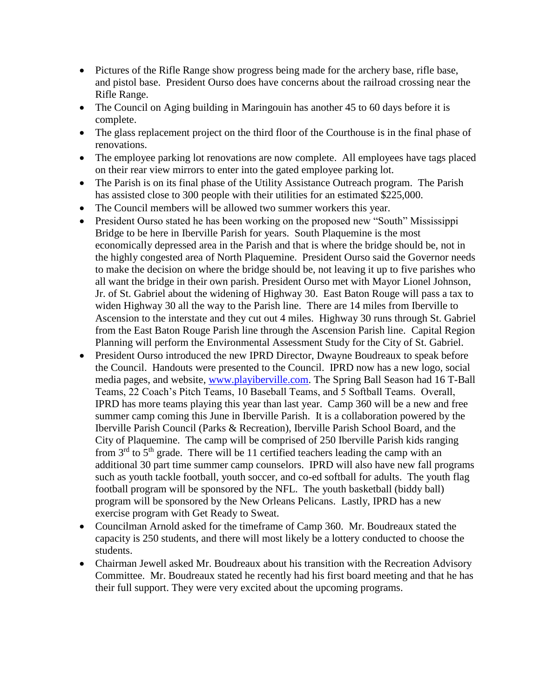- Pictures of the Rifle Range show progress being made for the archery base, rifle base, and pistol base. President Ourso does have concerns about the railroad crossing near the Rifle Range.
- The Council on Aging building in Maringouin has another 45 to 60 days before it is complete.
- The glass replacement project on the third floor of the Courthouse is in the final phase of renovations.
- The employee parking lot renovations are now complete. All employees have tags placed on their rear view mirrors to enter into the gated employee parking lot.
- The Parish is on its final phase of the Utility Assistance Outreach program. The Parish has assisted close to 300 people with their utilities for an estimated \$225,000.
- The Council members will be allowed two summer workers this year.
- President Ourso stated he has been working on the proposed new "South" Mississippi Bridge to be here in Iberville Parish for years. South Plaquemine is the most economically depressed area in the Parish and that is where the bridge should be, not in the highly congested area of North Plaquemine. President Ourso said the Governor needs to make the decision on where the bridge should be, not leaving it up to five parishes who all want the bridge in their own parish. President Ourso met with Mayor Lionel Johnson, Jr. of St. Gabriel about the widening of Highway 30. East Baton Rouge will pass a tax to widen Highway 30 all the way to the Parish line. There are 14 miles from Iberville to Ascension to the interstate and they cut out 4 miles. Highway 30 runs through St. Gabriel from the East Baton Rouge Parish line through the Ascension Parish line. Capital Region Planning will perform the Environmental Assessment Study for the City of St. Gabriel.
- President Ourso introduced the new IPRD Director, Dwayne Boudreaux to speak before the Council. Handouts were presented to the Council. IPRD now has a new logo, social media pages, and website, [www.playiberville.com.](http://www.playiberville.com/) The Spring Ball Season had 16 T-Ball Teams, 22 Coach's Pitch Teams, 10 Baseball Teams, and 5 Softball Teams. Overall, IPRD has more teams playing this year than last year. Camp 360 will be a new and free summer camp coming this June in Iberville Parish. It is a collaboration powered by the Iberville Parish Council (Parks & Recreation), Iberville Parish School Board, and the City of Plaquemine. The camp will be comprised of 250 Iberville Parish kids ranging from  $3<sup>rd</sup>$  to  $5<sup>th</sup>$  grade. There will be 11 certified teachers leading the camp with an additional 30 part time summer camp counselors. IPRD will also have new fall programs such as youth tackle football, youth soccer, and co-ed softball for adults. The youth flag football program will be sponsored by the NFL. The youth basketball (biddy ball) program will be sponsored by the New Orleans Pelicans. Lastly, IPRD has a new exercise program with Get Ready to Sweat.
- Councilman Arnold asked for the timeframe of Camp 360. Mr. Boudreaux stated the capacity is 250 students, and there will most likely be a lottery conducted to choose the students.
- Chairman Jewell asked Mr. Boudreaux about his transition with the Recreation Advisory Committee. Mr. Boudreaux stated he recently had his first board meeting and that he has their full support. They were very excited about the upcoming programs.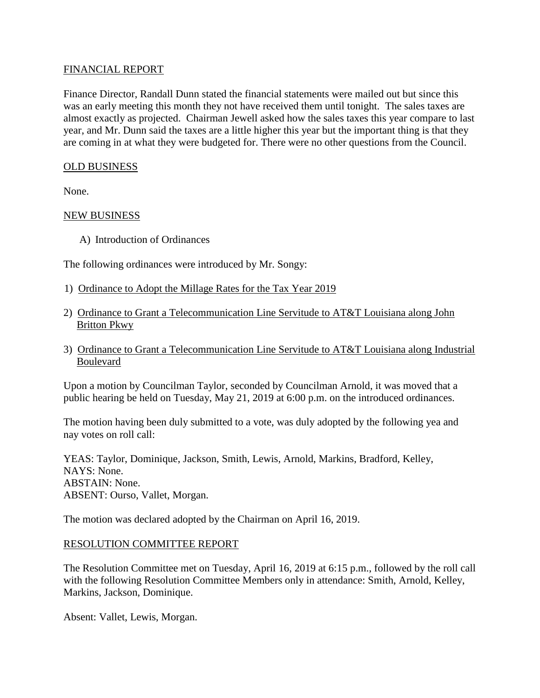## FINANCIAL REPORT

Finance Director, Randall Dunn stated the financial statements were mailed out but since this was an early meeting this month they not have received them until tonight. The sales taxes are almost exactly as projected. Chairman Jewell asked how the sales taxes this year compare to last year, and Mr. Dunn said the taxes are a little higher this year but the important thing is that they are coming in at what they were budgeted for. There were no other questions from the Council.

## OLD BUSINESS

None.

### NEW BUSINESS

A) Introduction of Ordinances

The following ordinances were introduced by Mr. Songy:

- 1) Ordinance to Adopt the Millage Rates for the Tax Year 2019
- 2) Ordinance to Grant a Telecommunication Line Servitude to AT&T Louisiana along John Britton Pkwy
- 3) Ordinance to Grant a Telecommunication Line Servitude to AT&T Louisiana along Industrial Boulevard

Upon a motion by Councilman Taylor, seconded by Councilman Arnold, it was moved that a public hearing be held on Tuesday, May 21, 2019 at 6:00 p.m. on the introduced ordinances.

The motion having been duly submitted to a vote, was duly adopted by the following yea and nay votes on roll call:

YEAS: Taylor, Dominique, Jackson, Smith, Lewis, Arnold, Markins, Bradford, Kelley, NAYS: None. ABSTAIN: None. ABSENT: Ourso, Vallet, Morgan.

The motion was declared adopted by the Chairman on April 16, 2019.

# RESOLUTION COMMITTEE REPORT

The Resolution Committee met on Tuesday, April 16, 2019 at 6:15 p.m., followed by the roll call with the following Resolution Committee Members only in attendance: Smith, Arnold, Kelley, Markins, Jackson, Dominique.

Absent: Vallet, Lewis, Morgan.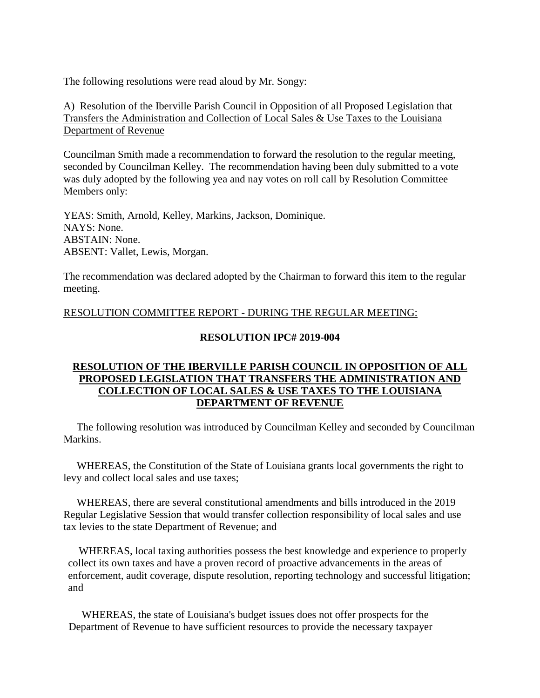The following resolutions were read aloud by Mr. Songy:

A) Resolution of the Iberville Parish Council in Opposition of all Proposed Legislation that Transfers the Administration and Collection of Local Sales & Use Taxes to the Louisiana Department of Revenue

Councilman Smith made a recommendation to forward the resolution to the regular meeting, seconded by Councilman Kelley. The recommendation having been duly submitted to a vote was duly adopted by the following yea and nay votes on roll call by Resolution Committee Members only:

YEAS: Smith, Arnold, Kelley, Markins, Jackson, Dominique. NAYS: None. ABSTAIN: None. ABSENT: Vallet, Lewis, Morgan.

The recommendation was declared adopted by the Chairman to forward this item to the regular meeting.

## RESOLUTION COMMITTEE REPORT - DURING THE REGULAR MEETING:

## **RESOLUTION IPC# 2019-004**

# **RESOLUTION OF THE IBERVILLE PARISH COUNCIL IN OPPOSITION OF ALL PROPOSED LEGISLATION THAT TRANSFERS THE ADMINISTRATION AND COLLECTION OF LOCAL SALES & USE TAXES TO THE LOUISIANA DEPARTMENT OF REVENUE**

 The following resolution was introduced by Councilman Kelley and seconded by Councilman Markins.

 WHEREAS, the Constitution of the State of Louisiana grants local governments the right to levy and collect local sales and use taxes;

 WHEREAS, there are several constitutional amendments and bills introduced in the 2019 Regular Legislative Session that would transfer collection responsibility of local sales and use tax levies to the state Department of Revenue; and

 WHEREAS, local taxing authorities possess the best knowledge and experience to properly collect its own taxes and have a proven record of proactive advancements in the areas of enforcement, audit coverage, dispute resolution, reporting technology and successful litigation; and

 WHEREAS, the state of Louisiana's budget issues does not offer prospects for the Department of Revenue to have sufficient resources to provide the necessary taxpayer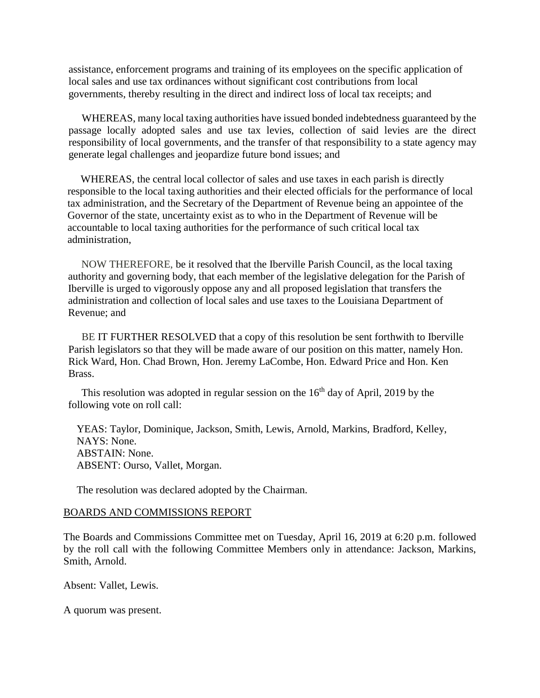assistance, enforcement programs and training of its employees on the specific application of local sales and use tax ordinances without significant cost contributions from local governments, thereby resulting in the direct and indirect loss of local tax receipts; and

 WHEREAS, many local taxing authorities have issued bonded indebtedness guaranteed by the passage locally adopted sales and use tax levies, collection of said levies are the direct responsibility of local governments, and the transfer of that responsibility to a state agency may generate legal challenges and jeopardize future bond issues; and

 WHEREAS, the central local collector of sales and use taxes in each parish is directly responsible to the local taxing authorities and their elected officials for the performance of local tax administration, and the Secretary of the Department of Revenue being an appointee of the Governor of the state, uncertainty exist as to who in the Department of Revenue will be accountable to local taxing authorities for the performance of such critical local tax administration,

 NOW THEREFORE, be it resolved that the Iberville Parish Council, as the local taxing authority and governing body, that each member of the legislative delegation for the Parish of Iberville is urged to vigorously oppose any and all proposed legislation that transfers the administration and collection of local sales and use taxes to the Louisiana Department of Revenue; and

 BE IT FURTHER RESOLVED that a copy of this resolution be sent forthwith to Iberville Parish legislators so that they will be made aware of our position on this matter, namely Hon. Rick Ward, Hon. Chad Brown, Hon. Jeremy LaCombe, Hon. Edward Price and Hon. Ken Brass.

This resolution was adopted in regular session on the  $16<sup>th</sup>$  day of April, 2019 by the following vote on roll call:

 YEAS: Taylor, Dominique, Jackson, Smith, Lewis, Arnold, Markins, Bradford, Kelley, NAYS: None. ABSTAIN: None. ABSENT: Ourso, Vallet, Morgan.

The resolution was declared adopted by the Chairman.

#### BOARDS AND COMMISSIONS REPORT

The Boards and Commissions Committee met on Tuesday, April 16, 2019 at 6:20 p.m. followed by the roll call with the following Committee Members only in attendance: Jackson, Markins, Smith, Arnold.

Absent: Vallet, Lewis.

A quorum was present.